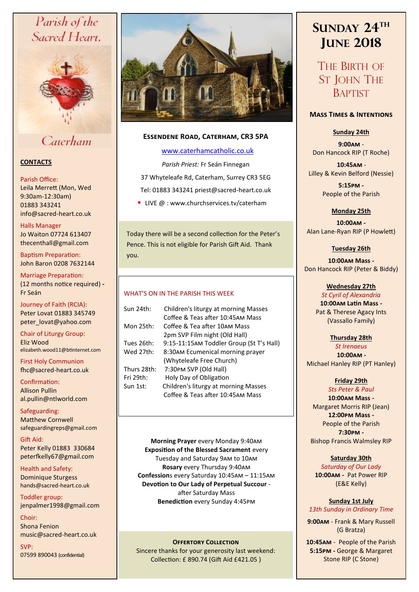# Parish of the Sacred Heart,



Caterham

# **CONTACTS**

### Parish Office:

Leila Merrett (Mon, Wed 9:30am-12:30am) 01883 343241 info@sacred-heart.co.uk .

# Halls Manager

Jo Waiton 07724 613407 thecenthall@gmail.com

Baptism Preparation: John Baron 0208 7632144

Marriage Preparation: (12 months notice required) **-** Fr Seán

Journey of Faith (RCIA): Peter Lovat 01883 345749 peter\_lovat@yahoo.com

Chair of Liturgy Group: Eliz Wood elizabeth.wood11@btinternet.com

First Holy Communion fhc@sacred-heart.co.uk

Confirmation: Allison Pullin al.pullin@ntlworld.com

Safeguarding: Matthew Cornwell safeguardingreps@gmail.com

Gift Aid: Peter Kelly 01883 330684 peterfkelly67@gmail.com

Health and Safety: Dominique Sturgess hands@sacred-heart.co.uk

Toddler group: jenpalmer1998@gmail.com

Choir: Shona Fenion music@sacred-heart.co.uk

SVP: 07599 890043 (confidential)



# **Essendene Road, Caterham, CR3 5PA**

# [www.caterhamcatholic.co.uk](http://Www.caterhamcatholic.co.uk)

*Parish Priest:* Fr Seán Finnegan 37 Whyteleafe Rd, Caterham, Surrey CR3 5EG Tel: 01883 343241 priest@sacred-heart.co.uk

• LIVE  $@:www.churchservices.tv/caterham$ 

Today there will be a second collection for the Peter's Pence. This is not eligible for Parish Gift Aid. Thank you.

# WHAT'S ON IN THE PARISH THIS WEEK.

| Sun 24th:   | Children's liturgy at morning Masses     |
|-------------|------------------------------------------|
|             | Coffee & Teas after 10:45AM Mass         |
| Mon 25th:   | Coffee & Tea after 10AM Mass             |
|             | 2pm SVP Film night (Old Hall)            |
| Tues 26th:  | 9:15-11:15AM Toddler Group (St T's Hall) |
| Wed 27th:   | 8:30AM Ecumenical morning prayer         |
|             | (Whyteleafe Free Church)                 |
| Thurs 28th: | 7:30PM SVP (Old Hall)                    |
| Fri 29th:   | Holy Day of Obligation                   |
| Sun 1st:    | Children's liturgy at morning Masses     |
|             | Coffee & Teas after 10:45AM Mass         |
|             |                                          |

**Morning Prayer** every Monday 9:40am **Exposition of the Blessed Sacrament** every Tuesday and Saturday 9am to 10am **Rosary** every Thursday 9:40am **Confession**s every Saturday 10:45am – 11:15am **Devotion to Our Lady of Perpetual Succour**  after Saturday Mass **Benediction** every Sunday 4:45pm

**OFFERTORY COLLECTION** Sincere thanks for your generosity last weekend: Collection: £ 890.74 (Gift Aid £421.05 )

# **SUNDAY 24TH JUNE 2018**

THE BIRTH OF ST JOHN THE **BAPTIST** 

# **Mass Times & Intentions**

# **Sunday 24th**

**9:00am** - Don Hancock RIP (T Roche)

.**10:45am** - Lilley & Kevin Belford (Nessie)

> **5:15pm -** People of the Parish

# **Monday 25th**

**10:00am -** Alan Lane-Ryan RIP (P Howlett)

### **Tuesday 26th**

**10:00am Mass -** Don Hancock RIP (Peter & Biddy)

### **Wednesday 27th**

*St Cyril of Alexandria* **10:00am Latin Mass -** Pat & Therese Agacy Ints (Vassallo Family)

### **Thursday 28th**

*St Irenaeus* .**10:00am -** Michael Hanley RIP (PT Hanley)

# **Friday 29th**

*Sts Peter & Paul* **10:00am Mass -** Margaret Morris RIP (Jean) **12:00pm Mass -** People of the Parish **7:30pm -** 

Bishop Francis Walmsley RIP

### **Saturday 30th**

*Saturday of Our Lady* **10:00am -** Pat Power RIP (E&E Kelly)

#### **Sunday 1st July** *13th Sunday in Ordinary Time*

**9:00am** - Frank & Mary Russell (G Bratza)

.**10:45am** - People of the Parish. **5:15pm -** George & Margaret Stone RIP (C Stone)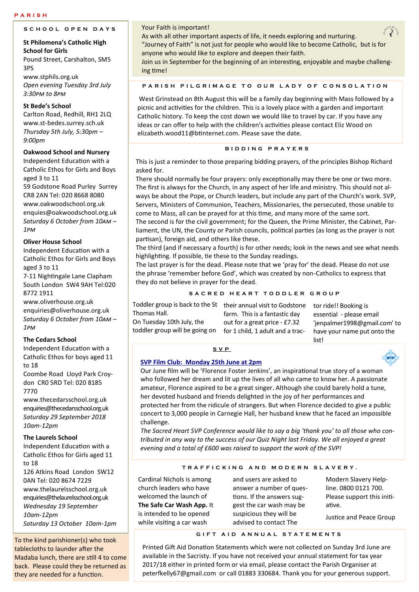# **S C H O O L O P E N D A Y S**

#### **St Philomena's Catholic High School for Girls**

Pound Street, Carshalton, SM5 3PS

www.stphils.org.uk *Open evening Tuesday 3rd July 3:30pm to 8pm*

### **St Bede's School**

Carlton Road, Redhill, RH1 2LQ www.st-bedes.surrey.sch.uk *Thursday 5th July, 5:30pm – 9:00pm*

### **Oakwood School and Nursery**

Independent Education with a Catholic Ethos for Girls and Boys aged 3 to 11

59 Godstone Road Purley Surrey CR8 2AN Tel: 020 8668 8080 www.oakwoodschool.org.uk enquies@oakwoodschool.org.uk *Saturday 6 October from 10am – 1pm*

### **Oliver House School**

Independent Education with a Catholic Ethos for Girls and Boys aged 3 to 11

7-11 Nightingale Lane Clapham South London SW4 9AH Tel:020 8772 1911

www.oliverhouse.org.uk enquiries@oliverhouse.org.uk *Saturday 6 October from 10am – 1pm* 

### **The Cedars School**

Independent Education with a Catholic Ethos for boys aged 11 to 18

Coombe Road Lloyd Park Croydon CR0 5RD Tel: 020 8185 7770

www.thecedarsschool.org.uk enquiries@thecedarsschool.org.uk *Saturday 29 September 2018 10am-12pm* 

### **The Laurels School**

Independent Education with a Catholic Ethos for Girls aged 11 to 18

126 Atkins Road London SW12 0AN Tel: 020 8674 7229 www.thelaurelsschool.org.uk enquiries@thelaurelsschool.org.uk *Wednesday 19 September 10am-12pm Saturday 13 October 10am-1pm*

To the kind parishioner(s) who took tablecloths to launder after the Madaba lunch, there are still 4 to come back. Please could they be returned as they are needed for a function.

### Your Faith is important!

As with all other important aspects of life, it needs exploring and nurturing. "Journey of Faith" is not just for people who would like to become Catholic, but is for anyone who would like to explore and deepen their faith.

Join us in September for the beginning of an interesting, enjoyable and maybe challenging time!

#### **PARISH PILGRIMAGE TO OUR LADY OF CONSOLATION**

West Grinstead on 8th August this will be a family day beginning with Mass followed by a picnic and activities for the children. This is a lovely place with a garden and important Catholic history. To keep the cost down we would like to travel by car. If you have any ideas or can offer to help with the children's activities please contact Eliz Wood on elizabeth.wood11@btinternet.com. Please save the date.

#### **B I D D I N G P R A Y E R S**

This is just a reminder to those preparing bidding prayers, of the principles Bishop Richard asked for.

There should normally be four prayers: only exceptionally may there be one or two more. The first is always for the Church, in any aspect of her life and ministry. This should not always be about the Pope, or Church leaders, but include any part of the Church's work. SVP, Servers, Ministers of Communion, Teachers, Missionaries, the persecuted, those unable to come to Mass, all can be prayed for at this time, and many more of the same sort. The second is for the civil government; for the Queen, the Prime Minister, the Cabinet, Parliament, the UN, the County or Parish councils, political parties (as long as the prayer is not

partisan), foreign aid, and others like these. The third (and if necessary a fourth) is for other needs; look in the news and see what needs highlighting. If possible, tie these to the Sunday readings.

The last prayer is for the dead. Please note that we 'pray for' the dead. Please do not use the phrase 'remember before God', which was created by non-Catholics to express that they do not believe in prayer for the dead.

#### S A C R E D H E A R T T O D D L E R G R O U P

| Toddler group is back to the St | their ann   |
|---------------------------------|-------------|
| Thomas Hall.                    | farm. Thi   |
| On Tuesday 10th July, the       | out for a   |
| toddler group will be going on  | for 1 chile |

toddler group will be going on for 1 child, 1 adult and a tractheir annual visit to Godstone tor ride!! Booking is is is a fantastic day great price - £7.32

essential - please email 'jenpalmer1998@gmail.com' to have your name put onto the list!

## **S V P**

### **SVP Film Club: Monday 25th June at 2pm**

Our June film will be 'Florence Foster Jenkins', an inspirational true story of a woman who followed her dream and lit up the lives of all who came to know her. A passionate amateur, Florence aspired to be a great singer. Although she could barely hold a tune, her devoted husband and friends delighted in the joy of her performances and protected her from the ridicule of strangers. But when Florence decided to give a public concert to 3,000 people in Carnegie Hall, her husband knew that he faced an impossible challenge.

*The Sacred Heart SVP Conference would like to say a big 'thank you' to all those who contributed in any way to the success of our Quiz Night last Friday. We all enjoyed a great evening and a total of £600 was raised to support the work of the SVP!*

#### **T R A F F I C K I N G A N D M O D E R N S L A V E R Y .**

Cardinal Nichols is among church leaders who have welcomed the launch of **The Safe Car Wash App.** It is intended to be opened while visiting a car wash

and users are asked to answer a number of questions. If the answers suggest the car wash may be suspicious they will be advised to contact The

Modern Slavery Helpline. 0800 0121 700. Please support this initiative.

Justice and Peace Group

#### **G I F T A I D A N N U A L S T A T E M E N T S**

Printed Gift Aid Donation Statements which were not collected on Sunday 3rd June are available in the Sacristy. If you have not received your annual statement for tax year 2017/18 either in printed form or via email, please contact the Parish Organiser at peterfkelly67@gmail.com or call 01883 330684. Thank you for your generous support.



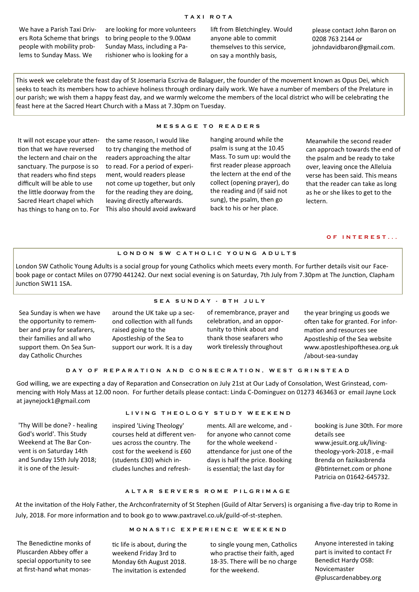#### **T A X I R O T A**

We have a Parish Taxi Drivers Rota Scheme that brings people with mobility problems to Sunday Mass. We

are looking for more volunteers to bring people to the 9.00am Sunday Mass, including a Parishioner who is looking for a

lift from Bletchingley. Would anyone able to commit themselves to this service, on say a monthly basis,

please contact John Baron on 0208 763 2144 or johndavidbaron@gmail.com.

This week we celebrate the feast day of St Josemaria Escriva de Balaguer, the founder of the movement known as Opus Dei, which seeks to teach its members how to achieve holiness through ordinary daily work. We have a number of members of the Prelature in our parish; we wish them a happy feast day, and we warmly welcome the members of the local district who will be celebrating the feast here at the Sacred Heart Church with a Mass at 7.30pm on Tuesday.

It will not escape your attention that we have reversed the lectern and chair on the sanctuary. The purpose is so that readers who find steps difficult will be able to use the little doorway from the Sacred Heart chapel which has things to hang on to. For

the same reason, I would like to try changing the method of readers approaching the altar to read. For a period of experiment, would readers please not come up together, but only for the reading they are doing, leaving directly afterwards. This also should avoid awkward

#### **M E S S A G E T O R E A D E R S**

hanging around while the psalm is sung at the 10.45 Mass. To sum up: would the first reader please approach the lectern at the end of the collect (opening prayer), do the reading and (if said not sung), the psalm, then go back to his or her place.

Meanwhile the second reader can approach towards the end of the psalm and be ready to take over, leaving once the Alleluia verse has been said. This means that the reader can take as long as he or she likes to get to the lectern.

### **O F I N T E R E S T . . .**

#### LONDON SW CATHOLIC YOUNG ADULTS

London SW Catholic Young Adults is a social group for young Catholics which meets every month. For further details visit our Facebook page or contact Miles on 07790 441242. Our next social evening is on Saturday, 7th July from 7.30pm at The Junction, Clapham Junction SW11 1SA.

Sea Sunday is when we have the opportunity to remember and pray for seafarers, their families and all who support them. On Sea Sunday Catholic Churches

**S E A S U N D A Y - 8 T H J U L Y**

around the UK take up a second collection with all funds raised going to the Apostleship of the Sea to support our work. It is a day

of remembrance, prayer and celebration, and an opportunity to think about and thank those seafarers who work tirelessly throughout

the year bringing us goods we often take for granted. For information and resources see Apostleship of the Sea website www.apostleshipofthesea.org.uk /about-sea-sunday

#### DAY OF REPARATION AND CONSECRATION, WEST GRINSTEAD

God willing, we are expecting a day of Reparation and Consecration on July 21st at Our Lady of Consolation, West Grinstead, commencing with Holy Mass at 12.00 noon. For further details please contact: Linda C-Dominguez on 01273 463463 or email Jayne Lock at jaynejock1@gmail.com

'Thy Will be done? - healing God's world'. This Study Weekend at The Bar Convent is on Saturday 14th and Sunday 15th July 2018; it is one of the Jesuit-

#### **L I V I N G T H E O L O G Y S T U D Y W E E K E N D**

inspired 'Living Theology' courses held at different venues across the country. The cost for the weekend is £60 (students £30) which includes lunches and refreshments. All are welcome, and for anyone who cannot come for the whole weekend attendance for just one of the days is half the price. Booking is essential; the last day for

booking is June 30th. For more details see www.jesuit.org.uk/livingtheology-york-2018 , e-mail Brenda on fazikasbrenda @btinternet.com or phone Patricia on 01642-645732.

#### **A L T A R S E R V E R S R O M E P I L G R I M A G E**

At the invitation of the Holy Father, the Archconfraternity of St Stephen (Guild of Altar Servers) is organising a five-day trip to Rome in July, 2018. For more information and to book go to www.paxtravel.co.uk/guild-of-st-stephen.

# **M O N A S T I C E X P E R I E N C E W E E K E N D**

The Benedictine monks of Pluscarden Abbey offer a special opportunity to see at first-hand what monas-

tic life is about, during the weekend Friday 3rd to Monday 6th August 2018. The invitation is extended

to single young men, Catholics who practise their faith, aged 18-35. There will be no charge for the weekend.

Anyone interested in taking part is invited to contact Fr Benedict Hardy OSB: Novicemaster @pluscardenabbey.org